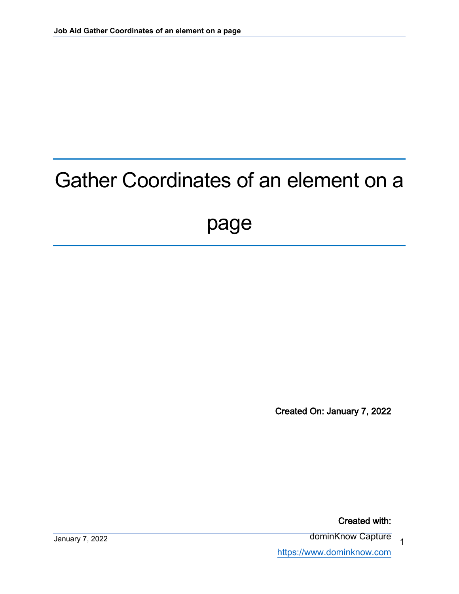## Gather Coordinates of an element on a

## page

**Created On: January 7, 2022**

**Created with:**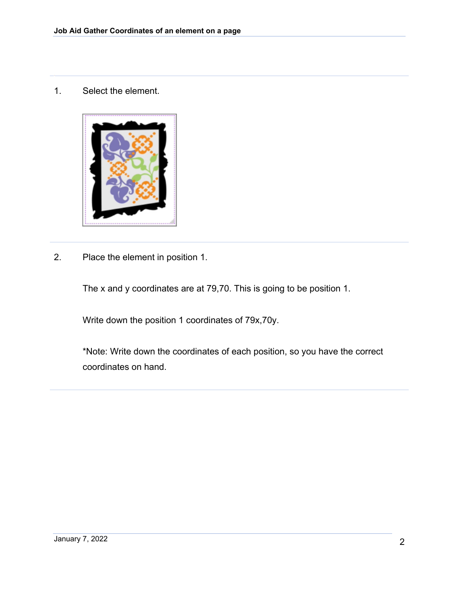1. Select the element.



2. Place the element in position 1.

The x and y coordinates are at 79,70. This is going to be position 1.

Write down the position 1 coordinates of 79x,70y.

\*Note: Write down the coordinates of each position, so you have the correct coordinates on hand.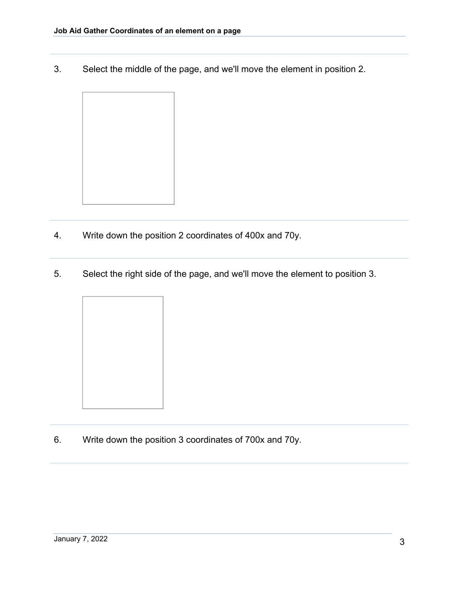3. Select the middle of the page, and we'll move the element in position 2.



- 4. Write down the position 2 coordinates of 400x and 70y.
- 5. Select the right side of the page, and we'll move the element to position 3.



6. Write down the position 3 coordinates of 700x and 70y.